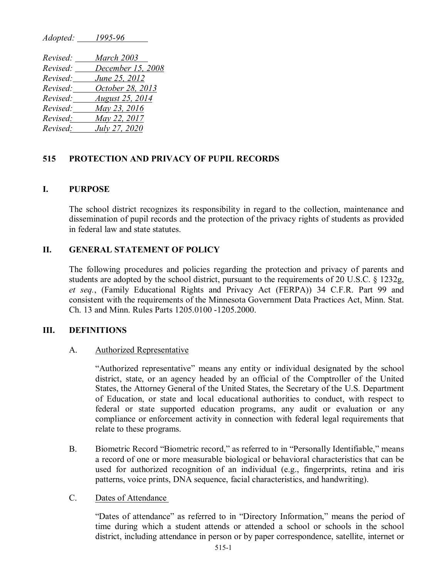| Adopted: | 1993-90                |
|----------|------------------------|
| Revised: | March 2003             |
| Revised: | December 15, 2008      |
| Revised: | June 25, 2012          |
| Revised: | October 28, 2013       |
| Revised: | <b>August 25, 2014</b> |
| Revised: | May 23, 2016           |
| Revised: | May 22, 2017           |
| Revised: | July 27, 2020          |

*Adopted: 1995-96*

# **515 PROTECTION AND PRIVACY OF PUPIL RECORDS**

## **I. PURPOSE**

The school district recognizes its responsibility in regard to the collection, maintenance and dissemination of pupil records and the protection of the privacy rights of students as provided in federal law and state statutes.

# **II. GENERAL STATEMENT OF POLICY**

The following procedures and policies regarding the protection and privacy of parents and students are adopted by the school district, pursuant to the requirements of 20 U.S.C. § 1232g, *et seq.*, (Family Educational Rights and Privacy Act (FERPA)) 34 C.F.R. Part 99 and consistent with the requirements of the Minnesota Government Data Practices Act, Minn. Stat. Ch. 13 and Minn. Rules Parts 1205.0100 -1205.2000.

## **III. DEFINITIONS**

#### A. Authorized Representative

"Authorized representative" means any entity or individual designated by the school district, state, or an agency headed by an official of the Comptroller of the United States, the Attorney General of the United States, the Secretary of the U.S. Department of Education, or state and local educational authorities to conduct, with respect to federal or state supported education programs, any audit or evaluation or any compliance or enforcement activity in connection with federal legal requirements that relate to these programs.

B. Biometric Record "Biometric record," as referred to in "Personally Identifiable," means a record of one or more measurable biological or behavioral characteristics that can be used for authorized recognition of an individual (e.g., fingerprints, retina and iris patterns, voice prints, DNA sequence, facial characteristics, and handwriting).

## C. Dates of Attendance

"Dates of attendance" as referred to in "Directory Information," means the period of time during which a student attends or attended a school or schools in the school district, including attendance in person or by paper correspondence, satellite, internet or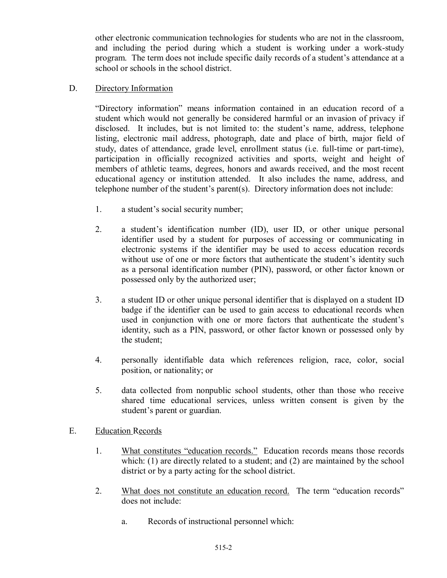other electronic communication technologies for students who are not in the classroom, and including the period during which a student is working under a work-study program. The term does not include specific daily records of a student's attendance at a school or schools in the school district.

### D. Directory Information

"Directory information" means information contained in an education record of a student which would not generally be considered harmful or an invasion of privacy if disclosed. It includes, but is not limited to: the student's name, address, telephone listing, electronic mail address, photograph, date and place of birth, major field of study, dates of attendance, grade level, enrollment status (i.e. full-time or part-time), participation in officially recognized activities and sports, weight and height of members of athletic teams, degrees, honors and awards received, and the most recent educational agency or institution attended. It also includes the name, address, and telephone number of the student's parent(s). Directory information does not include:

- 1. a student's social security number;
- 2. a student's identification number (ID), user ID, or other unique personal identifier used by a student for purposes of accessing or communicating in electronic systems if the identifier may be used to access education records without use of one or more factors that authenticate the student's identity such as a personal identification number (PIN), password, or other factor known or possessed only by the authorized user;
- 3. a student ID or other unique personal identifier that is displayed on a student ID badge if the identifier can be used to gain access to educational records when used in conjunction with one or more factors that authenticate the student's identity, such as a PIN, password, or other factor known or possessed only by the student;
- 4. personally identifiable data which references religion, race, color, social position, or nationality; or
- 5. data collected from nonpublic school students, other than those who receive shared time educational services, unless written consent is given by the student's parent or guardian.
- E. Education Records
	- 1. What constitutes "education records." Education records means those records which: (1) are directly related to a student; and (2) are maintained by the school district or by a party acting for the school district.
	- 2. What does not constitute an education record. The term "education records" does not include:
		- a. Records of instructional personnel which: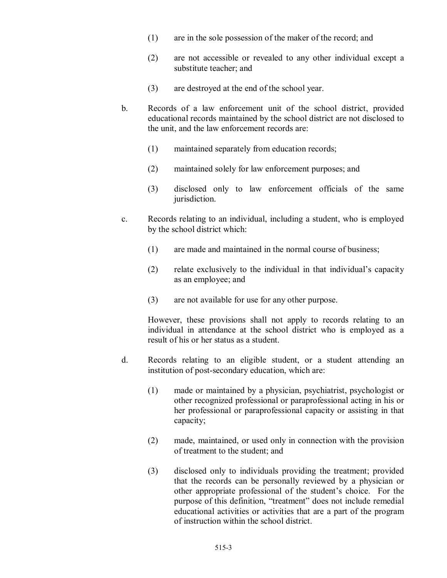- (1) are in the sole possession of the maker of the record; and
- (2) are not accessible or revealed to any other individual except a substitute teacher; and
- (3) are destroyed at the end of the school year.
- b. Records of a law enforcement unit of the school district, provided educational records maintained by the school district are not disclosed to the unit, and the law enforcement records are:
	- (1) maintained separately from education records;
	- (2) maintained solely for law enforcement purposes; and
	- (3) disclosed only to law enforcement officials of the same jurisdiction.
- c. Records relating to an individual, including a student, who is employed by the school district which:
	- (1) are made and maintained in the normal course of business;
	- (2) relate exclusively to the individual in that individual's capacity as an employee; and
	- (3) are not available for use for any other purpose.

However, these provisions shall not apply to records relating to an individual in attendance at the school district who is employed as a result of his or her status as a student.

- d. Records relating to an eligible student, or a student attending an institution of post-secondary education, which are:
	- (1) made or maintained by a physician, psychiatrist, psychologist or other recognized professional or paraprofessional acting in his or her professional or paraprofessional capacity or assisting in that capacity;
	- (2) made, maintained, or used only in connection with the provision of treatment to the student; and
	- (3) disclosed only to individuals providing the treatment; provided that the records can be personally reviewed by a physician or other appropriate professional of the student's choice. For the purpose of this definition, "treatment" does not include remedial educational activities or activities that are a part of the program of instruction within the school district.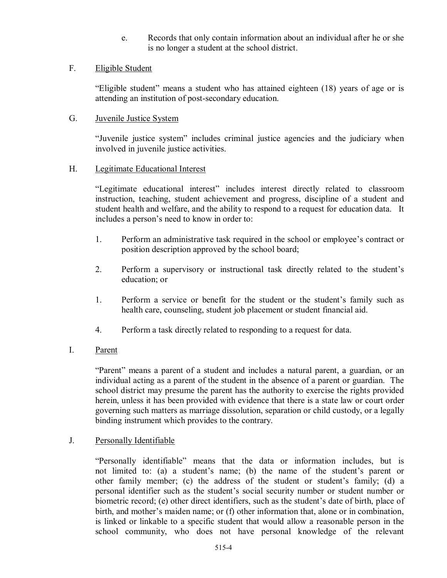e. Records that only contain information about an individual after he or she is no longer a student at the school district.

### F. Eligible Student

"Eligible student" means a student who has attained eighteen (18) years of age or is attending an institution of post-secondary education.

#### G. Juvenile Justice System

"Juvenile justice system" includes criminal justice agencies and the judiciary when involved in juvenile justice activities.

#### H. Legitimate Educational Interest

"Legitimate educational interest" includes interest directly related to classroom instruction, teaching, student achievement and progress, discipline of a student and student health and welfare, and the ability to respond to a request for education data. It includes a person's need to know in order to:

- 1. Perform an administrative task required in the school or employee's contract or position description approved by the school board;
- 2. Perform a supervisory or instructional task directly related to the student's education; or
- 1. Perform a service or benefit for the student or the student's family such as health care, counseling, student job placement or student financial aid.
- 4. Perform a task directly related to responding to a request for data.

## I. Parent

"Parent" means a parent of a student and includes a natural parent, a guardian, or an individual acting as a parent of the student in the absence of a parent or guardian. The school district may presume the parent has the authority to exercise the rights provided herein, unless it has been provided with evidence that there is a state law or court order governing such matters as marriage dissolution, separation or child custody, or a legally binding instrument which provides to the contrary.

#### J. Personally Identifiable

"Personally identifiable" means that the data or information includes, but is not limited to: (a) a student's name; (b) the name of the student's parent or other family member; (c) the address of the student or student's family; (d) a personal identifier such as the student's social security number or student number or biometric record; (e) other direct identifiers, such as the student's date of birth, place of birth, and mother's maiden name; or (f) other information that, alone or in combination, is linked or linkable to a specific student that would allow a reasonable person in the school community, who does not have personal knowledge of the relevant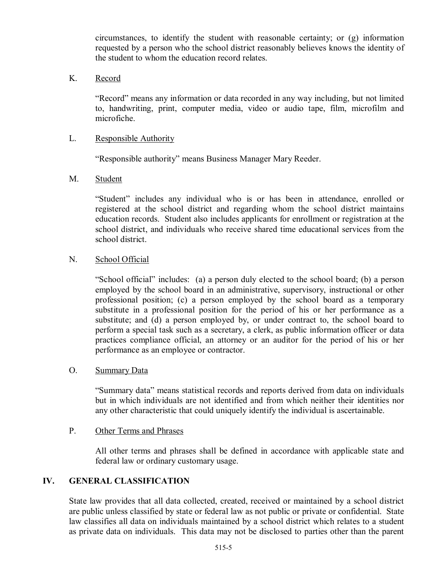circumstances, to identify the student with reasonable certainty; or (g) information requested by a person who the school district reasonably believes knows the identity of the student to whom the education record relates.

### K. Record

"Record" means any information or data recorded in any way including, but not limited to, handwriting, print, computer media, video or audio tape, film, microfilm and microfiche.

### L. Responsible Authority

"Responsible authority" means Business Manager Mary Reeder.

### M. Student

"Student" includes any individual who is or has been in attendance, enrolled or registered at the school district and regarding whom the school district maintains education records. Student also includes applicants for enrollment or registration at the school district, and individuals who receive shared time educational services from the school district.

### N. School Official

"School official" includes: (a) a person duly elected to the school board; (b) a person employed by the school board in an administrative, supervisory, instructional or other professional position; (c) a person employed by the school board as a temporary substitute in a professional position for the period of his or her performance as a substitute; and (d) a person employed by, or under contract to, the school board to perform a special task such as a secretary, a clerk, as public information officer or data practices compliance official, an attorney or an auditor for the period of his or her performance as an employee or contractor.

#### O. Summary Data

"Summary data" means statistical records and reports derived from data on individuals but in which individuals are not identified and from which neither their identities nor any other characteristic that could uniquely identify the individual is ascertainable.

#### P. Other Terms and Phrases

All other terms and phrases shall be defined in accordance with applicable state and federal law or ordinary customary usage.

## **IV. GENERAL CLASSIFICATION**

State law provides that all data collected, created, received or maintained by a school district are public unless classified by state or federal law as not public or private or confidential. State law classifies all data on individuals maintained by a school district which relates to a student as private data on individuals. This data may not be disclosed to parties other than the parent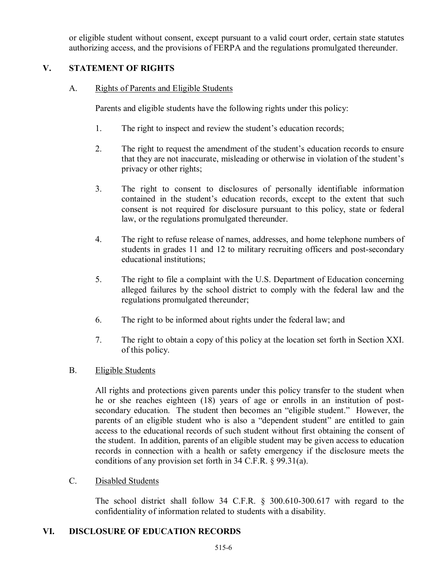or eligible student without consent, except pursuant to a valid court order, certain state statutes authorizing access, and the provisions of FERPA and the regulations promulgated thereunder.

## **V. STATEMENT OF RIGHTS**

A. Rights of Parents and Eligible Students

Parents and eligible students have the following rights under this policy:

- 1. The right to inspect and review the student's education records;
- 2. The right to request the amendment of the student's education records to ensure that they are not inaccurate, misleading or otherwise in violation of the student's privacy or other rights;
- 3. The right to consent to disclosures of personally identifiable information contained in the student's education records, except to the extent that such consent is not required for disclosure pursuant to this policy, state or federal law, or the regulations promulgated thereunder.
- 4. The right to refuse release of names, addresses, and home telephone numbers of students in grades 11 and 12 to military recruiting officers and post-secondary educational institutions;
- 5. The right to file a complaint with the U.S. Department of Education concerning alleged failures by the school district to comply with the federal law and the regulations promulgated thereunder;
- 6. The right to be informed about rights under the federal law; and
- 7. The right to obtain a copy of this policy at the location set forth in Section XXI. of this policy.

## B. Eligible Students

All rights and protections given parents under this policy transfer to the student when he or she reaches eighteen (18) years of age or enrolls in an institution of postsecondary education. The student then becomes an "eligible student." However, the parents of an eligible student who is also a "dependent student" are entitled to gain access to the educational records of such student without first obtaining the consent of the student. In addition, parents of an eligible student may be given access to education records in connection with a health or safety emergency if the disclosure meets the conditions of any provision set forth in 34 C.F.R. § 99.31(a).

## C. Disabled Students

The school district shall follow 34 C.F.R. § 300.610-300.617 with regard to the confidentiality of information related to students with a disability.

# **VI. DISCLOSURE OF EDUCATION RECORDS**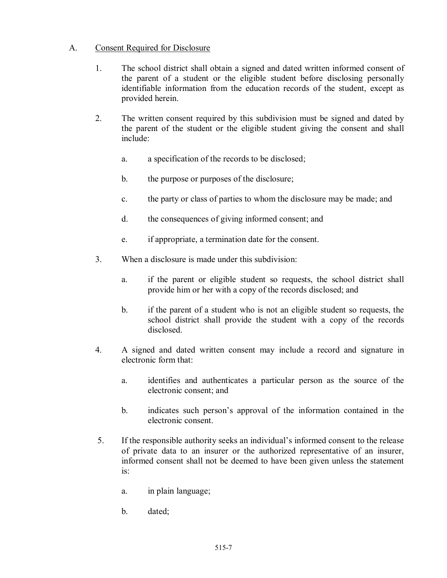## A. Consent Required for Disclosure

- 1. The school district shall obtain a signed and dated written informed consent of the parent of a student or the eligible student before disclosing personally identifiable information from the education records of the student, except as provided herein.
- 2. The written consent required by this subdivision must be signed and dated by the parent of the student or the eligible student giving the consent and shall include:
	- a. a specification of the records to be disclosed;
	- b. the purpose or purposes of the disclosure;
	- c. the party or class of parties to whom the disclosure may be made; and
	- d. the consequences of giving informed consent; and
	- e. if appropriate, a termination date for the consent.
- 3. When a disclosure is made under this subdivision:
	- a. if the parent or eligible student so requests, the school district shall provide him or her with a copy of the records disclosed; and
	- b. if the parent of a student who is not an eligible student so requests, the school district shall provide the student with a copy of the records disclosed.
- 4. A signed and dated written consent may include a record and signature in electronic form that:
	- a. identifies and authenticates a particular person as the source of the electronic consent; and
	- b. indicates such person's approval of the information contained in the electronic consent.
- 5. If the responsible authority seeks an individual's informed consent to the release of private data to an insurer or the authorized representative of an insurer, informed consent shall not be deemed to have been given unless the statement is:
	- a. in plain language;
	- b. dated;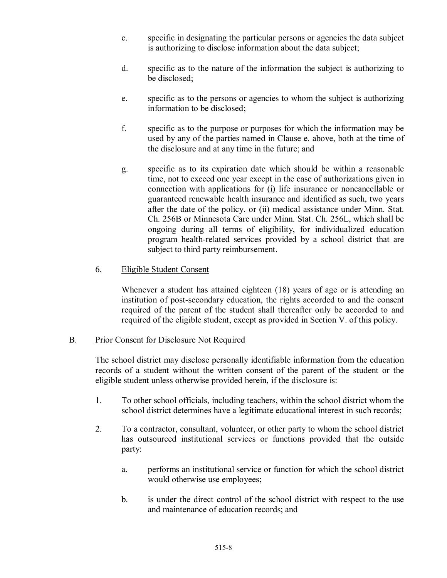- c. specific in designating the particular persons or agencies the data subject is authorizing to disclose information about the data subject;
- d. specific as to the nature of the information the subject is authorizing to be disclosed;
- e. specific as to the persons or agencies to whom the subject is authorizing information to be disclosed;
- f. specific as to the purpose or purposes for which the information may be used by any of the parties named in Clause e. above, both at the time of the disclosure and at any time in the future; and
- g. specific as to its expiration date which should be within a reasonable time, not to exceed one year except in the case of authorizations given in connection with applications for (i) life insurance or noncancellable or guaranteed renewable health insurance and identified as such, two years after the date of the policy, or (ii) medical assistance under Minn. Stat. Ch. 256B or Minnesota Care under Minn. Stat. Ch. 256L, which shall be ongoing during all terms of eligibility, for individualized education program health-related services provided by a school district that are subject to third party reimbursement.

## 6. Eligible Student Consent

Whenever a student has attained eighteen (18) years of age or is attending an institution of post-secondary education, the rights accorded to and the consent required of the parent of the student shall thereafter only be accorded to and required of the eligible student, except as provided in Section V. of this policy.

## B. Prior Consent for Disclosure Not Required

The school district may disclose personally identifiable information from the education records of a student without the written consent of the parent of the student or the eligible student unless otherwise provided herein, if the disclosure is:

- 1. To other school officials, including teachers, within the school district whom the school district determines have a legitimate educational interest in such records;
- 2. To a contractor, consultant, volunteer, or other party to whom the school district has outsourced institutional services or functions provided that the outside party:
	- a. performs an institutional service or function for which the school district would otherwise use employees;
	- b. is under the direct control of the school district with respect to the use and maintenance of education records; and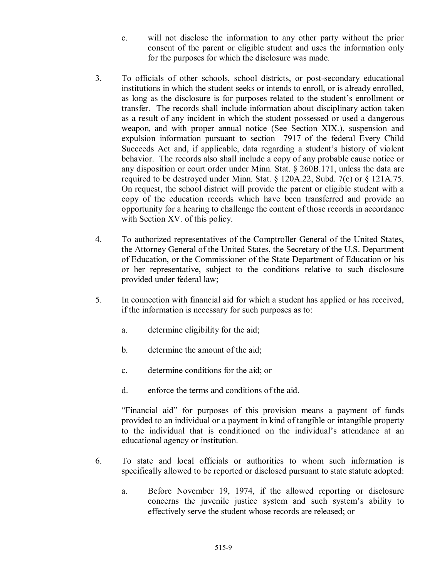- c. will not disclose the information to any other party without the prior consent of the parent or eligible student and uses the information only for the purposes for which the disclosure was made.
- 3. To officials of other schools, school districts, or post-secondary educational institutions in which the student seeks or intends to enroll, or is already enrolled, as long as the disclosure is for purposes related to the student's enrollment or transfer. The records shall include information about disciplinary action taken as a result of any incident in which the student possessed or used a dangerous weapon, and with proper annual notice (See Section XIX.), suspension and expulsion information pursuant to section 7917 of the federal Every Child Succeeds Act and, if applicable, data regarding a student's history of violent behavior. The records also shall include a copy of any probable cause notice or any disposition or court order under Minn. Stat. § 260B.171, unless the data are required to be destroyed under Minn. Stat. § 120A.22, Subd. 7(c) or § 121A.75. On request, the school district will provide the parent or eligible student with a copy of the education records which have been transferred and provide an opportunity for a hearing to challenge the content of those records in accordance with Section XV. of this policy.
- 4. To authorized representatives of the Comptroller General of the United States, the Attorney General of the United States, the Secretary of the U.S. Department of Education, or the Commissioner of the State Department of Education or his or her representative, subject to the conditions relative to such disclosure provided under federal law;
- 5. In connection with financial aid for which a student has applied or has received, if the information is necessary for such purposes as to:
	- a. determine eligibility for the aid;
	- b. determine the amount of the aid;
	- c. determine conditions for the aid; or
	- d. enforce the terms and conditions of the aid.

"Financial aid" for purposes of this provision means a payment of funds provided to an individual or a payment in kind of tangible or intangible property to the individual that is conditioned on the individual's attendance at an educational agency or institution.

- 6. To state and local officials or authorities to whom such information is specifically allowed to be reported or disclosed pursuant to state statute adopted:
	- a. Before November 19, 1974, if the allowed reporting or disclosure concerns the juvenile justice system and such system's ability to effectively serve the student whose records are released; or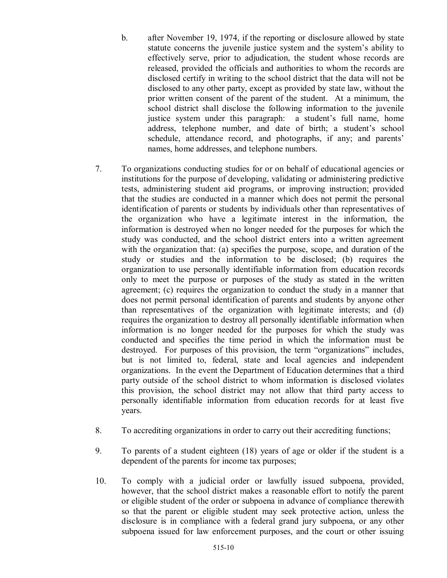- b. after November 19, 1974, if the reporting or disclosure allowed by state statute concerns the juvenile justice system and the system's ability to effectively serve, prior to adjudication, the student whose records are released, provided the officials and authorities to whom the records are disclosed certify in writing to the school district that the data will not be disclosed to any other party, except as provided by state law, without the prior written consent of the parent of the student. At a minimum, the school district shall disclose the following information to the juvenile justice system under this paragraph: a student's full name, home address, telephone number, and date of birth; a student's school schedule, attendance record, and photographs, if any; and parents' names, home addresses, and telephone numbers.
- 7. To organizations conducting studies for or on behalf of educational agencies or institutions for the purpose of developing, validating or administering predictive tests, administering student aid programs, or improving instruction; provided that the studies are conducted in a manner which does not permit the personal identification of parents or students by individuals other than representatives of the organization who have a legitimate interest in the information, the information is destroyed when no longer needed for the purposes for which the study was conducted, and the school district enters into a written agreement with the organization that: (a) specifies the purpose, scope, and duration of the study or studies and the information to be disclosed; (b) requires the organization to use personally identifiable information from education records only to meet the purpose or purposes of the study as stated in the written agreement; (c) requires the organization to conduct the study in a manner that does not permit personal identification of parents and students by anyone other than representatives of the organization with legitimate interests; and (d) requires the organization to destroy all personally identifiable information when information is no longer needed for the purposes for which the study was conducted and specifies the time period in which the information must be destroyed. For purposes of this provision, the term "organizations" includes, but is not limited to, federal, state and local agencies and independent organizations. In the event the Department of Education determines that a third party outside of the school district to whom information is disclosed violates this provision, the school district may not allow that third party access to personally identifiable information from education records for at least five years.
- 8. To accrediting organizations in order to carry out their accrediting functions;
- 9. To parents of a student eighteen (18) years of age or older if the student is a dependent of the parents for income tax purposes;
- 10. To comply with a judicial order or lawfully issued subpoena, provided, however, that the school district makes a reasonable effort to notify the parent or eligible student of the order or subpoena in advance of compliance therewith so that the parent or eligible student may seek protective action, unless the disclosure is in compliance with a federal grand jury subpoena, or any other subpoena issued for law enforcement purposes, and the court or other issuing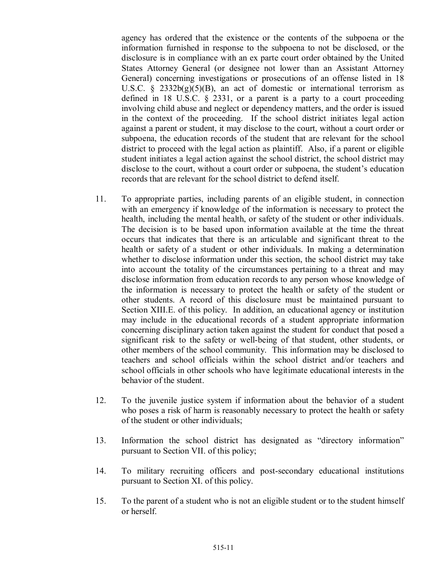agency has ordered that the existence or the contents of the subpoena or the information furnished in response to the subpoena to not be disclosed, or the disclosure is in compliance with an ex parte court order obtained by the United States Attorney General (or designee not lower than an Assistant Attorney General) concerning investigations or prosecutions of an offense listed in 18 U.S.C. §  $2332b(g)(5)(B)$ , an act of domestic or international terrorism as defined in 18 U.S.C. § 2331, or a parent is a party to a court proceeding involving child abuse and neglect or dependency matters, and the order is issued in the context of the proceeding. If the school district initiates legal action against a parent or student, it may disclose to the court, without a court order or subpoena, the education records of the student that are relevant for the school district to proceed with the legal action as plaintiff. Also, if a parent or eligible student initiates a legal action against the school district, the school district may disclose to the court, without a court order or subpoena, the student's education records that are relevant for the school district to defend itself.

- 11. To appropriate parties, including parents of an eligible student, in connection with an emergency if knowledge of the information is necessary to protect the health, including the mental health, or safety of the student or other individuals. The decision is to be based upon information available at the time the threat occurs that indicates that there is an articulable and significant threat to the health or safety of a student or other individuals. In making a determination whether to disclose information under this section, the school district may take into account the totality of the circumstances pertaining to a threat and may disclose information from education records to any person whose knowledge of the information is necessary to protect the health or safety of the student or other students. A record of this disclosure must be maintained pursuant to Section XIII.E. of this policy. In addition, an educational agency or institution may include in the educational records of a student appropriate information concerning disciplinary action taken against the student for conduct that posed a significant risk to the safety or well-being of that student, other students, or other members of the school community. This information may be disclosed to teachers and school officials within the school district and/or teachers and school officials in other schools who have legitimate educational interests in the behavior of the student.
- 12. To the juvenile justice system if information about the behavior of a student who poses a risk of harm is reasonably necessary to protect the health or safety of the student or other individuals;
- 13. Information the school district has designated as "directory information" pursuant to Section VII. of this policy;
- 14. To military recruiting officers and post-secondary educational institutions pursuant to Section XI. of this policy.
- 15. To the parent of a student who is not an eligible student or to the student himself or herself.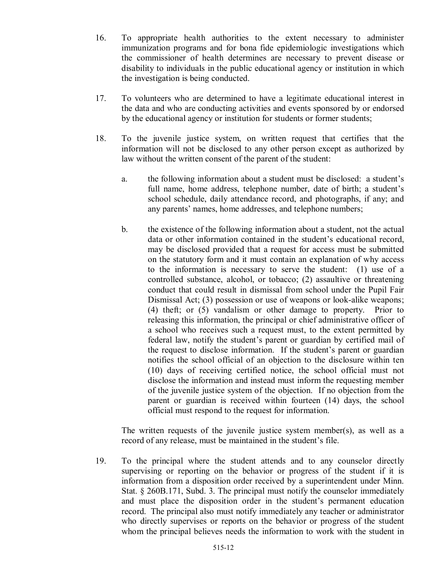- 16. To appropriate health authorities to the extent necessary to administer immunization programs and for bona fide epidemiologic investigations which the commissioner of health determines are necessary to prevent disease or disability to individuals in the public educational agency or institution in which the investigation is being conducted.
- 17. To volunteers who are determined to have a legitimate educational interest in the data and who are conducting activities and events sponsored by or endorsed by the educational agency or institution for students or former students;
- 18. To the juvenile justice system, on written request that certifies that the information will not be disclosed to any other person except as authorized by law without the written consent of the parent of the student:
	- a. the following information about a student must be disclosed: a student's full name, home address, telephone number, date of birth; a student's school schedule, daily attendance record, and photographs, if any; and any parents' names, home addresses, and telephone numbers;
	- b. the existence of the following information about a student, not the actual data or other information contained in the student's educational record, may be disclosed provided that a request for access must be submitted on the statutory form and it must contain an explanation of why access to the information is necessary to serve the student: (1) use of a controlled substance, alcohol, or tobacco; (2) assaultive or threatening conduct that could result in dismissal from school under the Pupil Fair Dismissal Act; (3) possession or use of weapons or look-alike weapons; (4) theft; or (5) vandalism or other damage to property. Prior to releasing this information, the principal or chief administrative officer of a school who receives such a request must, to the extent permitted by federal law, notify the student's parent or guardian by certified mail of the request to disclose information. If the student's parent or guardian notifies the school official of an objection to the disclosure within ten (10) days of receiving certified notice, the school official must not disclose the information and instead must inform the requesting member of the juvenile justice system of the objection. If no objection from the parent or guardian is received within fourteen (14) days, the school official must respond to the request for information.

The written requests of the juvenile justice system member(s), as well as a record of any release, must be maintained in the student's file.

19. To the principal where the student attends and to any counselor directly supervising or reporting on the behavior or progress of the student if it is information from a disposition order received by a superintendent under Minn. Stat. § 260B.171, Subd. 3. The principal must notify the counselor immediately and must place the disposition order in the student's permanent education record. The principal also must notify immediately any teacher or administrator who directly supervises or reports on the behavior or progress of the student whom the principal believes needs the information to work with the student in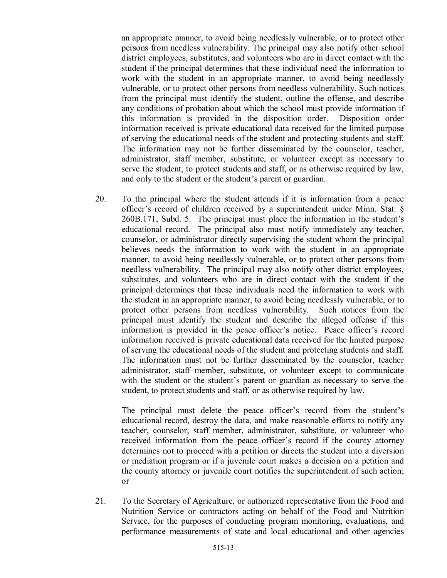an appropriate manner, to avoid being needlessly vulnerable, or to protect other persons from needless vulnerability. The principal may also notify other school district employees, substitutes, and volunteers who are in direct contact with the student if the principal determines that these individual need the information to work with the student in an appropriate manner, to avoid being needlessly vulnerable, or to protect other persons from needless vulnerability. Such notices from the principal must identify the student, outline the offense, and describe any conditions of probation about which the school must provide information if this information is provided in the disposition order. Disposition order information received is private educational data received for the limited purpose of serving the educational needs of the student and protecting students and staff. The information may not be further disseminated by the counselor, teacher, administrator, staff member, substitute, or volunteer except as necessary to serve the student, to protect students and staff, or as otherwise required by law, and only to the student or the student's parent or guardian.

20. To the principal where the student attends if it is information from a peace officer's record of children received by a superintendent under Minn. Stat. § 260B.171, Subd. 5. The principal must place the information in the student's educational record. The principal also must notify immediately any teacher, counselor, or administrator directly supervising the student whom the principal believes needs the information to work with the student in an appropriate manner, to avoid being needlessly vulnerable, or to protect other persons from needless vulnerability. The principal may also notify other district employees, substitutes, and volunteers who are in direct contact with the student if the principal determines that these individuals need the information to work with the student in an appropriate manner, to avoid being needlessly vulnerable, or to protect other persons from needless vulnerability. Such notices from the principal must identify the student and describe the alleged offense if this information is provided in the peace officer's notice. Peace officer's record information received is private educational data received for the limited purpose of serving the educational needs of the student and protecting students and staff. The information must not be further disseminated by the counselor, teacher administrator, staff member, substitute, or volunteer except to communicate with the student or the student's parent or guardian as necessary to serve the student, to protect students and staff, or as otherwise required by law.

The principal must delete the peace officer's record from the student's educational record, destroy the data, and make reasonable efforts to notify any teacher, counselor, staff member, administrator, substitute, or volunteer who received information from the peace officer's record if the county attorney determines not to proceed with a petition or directs the student into a diversion or mediation program or if a juvenile court makes a decision on a petition and the county attorney or juvenile court notifies the superintendent of such action; or

21. To the Secretary of Agriculture, or authorized representative from the Food and Nutrition Service or contractors acting on behalf of the Food and Nutrition Service, for the purposes of conducting program monitoring, evaluations, and performance measurements of state and local educational and other agencies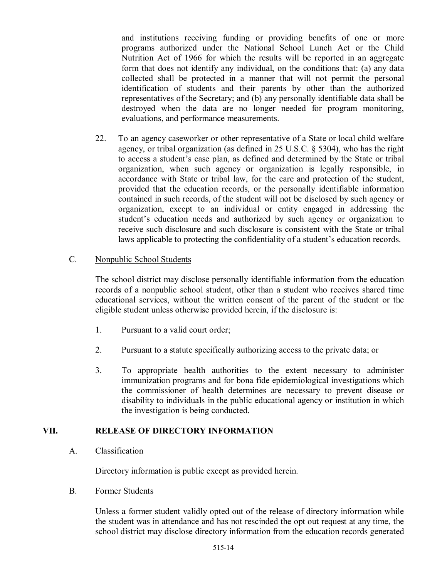and institutions receiving funding or providing benefits of one or more programs authorized under the National School Lunch Act or the Child Nutrition Act of 1966 for which the results will be reported in an aggregate form that does not identify any individual, on the conditions that: (a) any data collected shall be protected in a manner that will not permit the personal identification of students and their parents by other than the authorized representatives of the Secretary; and (b) any personally identifiable data shall be destroyed when the data are no longer needed for program monitoring, evaluations, and performance measurements.

22. To an agency caseworker or other representative of a State or local child welfare agency, or tribal organization (as defined in 25 U.S.C. § 5304), who has the right to access a student's case plan, as defined and determined by the State or tribal organization, when such agency or organization is legally responsible, in accordance with State or tribal law, for the care and protection of the student, provided that the education records, or the personally identifiable information contained in such records, of the student will not be disclosed by such agency or organization, except to an individual or entity engaged in addressing the student's education needs and authorized by such agency or organization to receive such disclosure and such disclosure is consistent with the State or tribal laws applicable to protecting the confidentiality of a student's education records.

### C. Nonpublic School Students

The school district may disclose personally identifiable information from the education records of a nonpublic school student, other than a student who receives shared time educational services, without the written consent of the parent of the student or the eligible student unless otherwise provided herein, if the disclosure is:

- 1. Pursuant to a valid court order;
- 2. Pursuant to a statute specifically authorizing access to the private data; or
- 3. To appropriate health authorities to the extent necessary to administer immunization programs and for bona fide epidemiological investigations which the commissioner of health determines are necessary to prevent disease or disability to individuals in the public educational agency or institution in which the investigation is being conducted.

## **VII. RELEASE OF DIRECTORY INFORMATION**

A. Classification

Directory information is public except as provided herein.

B. Former Students

Unless a former student validly opted out of the release of directory information while the student was in attendance and has not rescinded the opt out request at any time, the school district may disclose directory information from the education records generated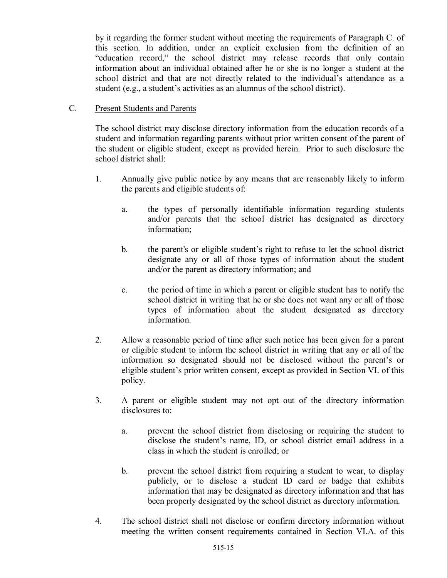by it regarding the former student without meeting the requirements of Paragraph C. of this section. In addition, under an explicit exclusion from the definition of an "education record," the school district may release records that only contain information about an individual obtained after he or she is no longer a student at the school district and that are not directly related to the individual's attendance as a student (e.g., a student's activities as an alumnus of the school district).

### C. Present Students and Parents

The school district may disclose directory information from the education records of a student and information regarding parents without prior written consent of the parent of the student or eligible student, except as provided herein. Prior to such disclosure the school district shall:

- 1. Annually give public notice by any means that are reasonably likely to inform the parents and eligible students of:
	- a. the types of personally identifiable information regarding students and/or parents that the school district has designated as directory information;
	- b. the parent's or eligible student's right to refuse to let the school district designate any or all of those types of information about the student and/or the parent as directory information; and
	- c. the period of time in which a parent or eligible student has to notify the school district in writing that he or she does not want any or all of those types of information about the student designated as directory information.
- 2. Allow a reasonable period of time after such notice has been given for a parent or eligible student to inform the school district in writing that any or all of the information so designated should not be disclosed without the parent's or eligible student's prior written consent, except as provided in Section VI. of this policy.
- 3. A parent or eligible student may not opt out of the directory information disclosures to:
	- a. prevent the school district from disclosing or requiring the student to disclose the student's name, ID, or school district email address in a class in which the student is enrolled; or
	- b. prevent the school district from requiring a student to wear, to display publicly, or to disclose a student ID card or badge that exhibits information that may be designated as directory information and that has been properly designated by the school district as directory information.
- 4. The school district shall not disclose or confirm directory information without meeting the written consent requirements contained in Section VI.A. of this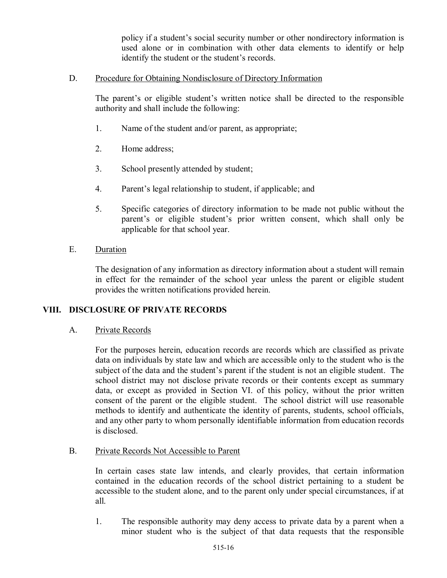policy if a student's social security number or other nondirectory information is used alone or in combination with other data elements to identify or help identify the student or the student's records.

### D. Procedure for Obtaining Nondisclosure of Directory Information

The parent's or eligible student's written notice shall be directed to the responsible authority and shall include the following:

- 1. Name of the student and/or parent, as appropriate;
- 2. Home address;
- 3. School presently attended by student;
- 4. Parent's legal relationship to student, if applicable; and
- 5. Specific categories of directory information to be made not public without the parent's or eligible student's prior written consent, which shall only be applicable for that school year.
- E. Duration

The designation of any information as directory information about a student will remain in effect for the remainder of the school year unless the parent or eligible student provides the written notifications provided herein.

#### **VIII. DISCLOSURE OF PRIVATE RECORDS**

A. Private Records

For the purposes herein, education records are records which are classified as private data on individuals by state law and which are accessible only to the student who is the subject of the data and the student's parent if the student is not an eligible student. The school district may not disclose private records or their contents except as summary data, or except as provided in Section VI. of this policy, without the prior written consent of the parent or the eligible student. The school district will use reasonable methods to identify and authenticate the identity of parents, students, school officials, and any other party to whom personally identifiable information from education records is disclosed.

#### B. Private Records Not Accessible to Parent

In certain cases state law intends, and clearly provides, that certain information contained in the education records of the school district pertaining to a student be accessible to the student alone, and to the parent only under special circumstances, if at all.

1. The responsible authority may deny access to private data by a parent when a minor student who is the subject of that data requests that the responsible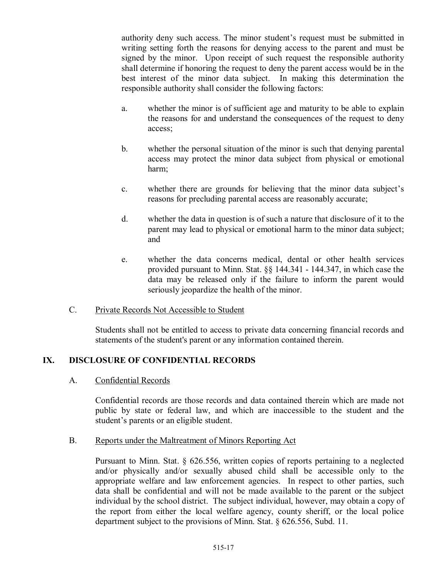authority deny such access. The minor student's request must be submitted in writing setting forth the reasons for denying access to the parent and must be signed by the minor. Upon receipt of such request the responsible authority shall determine if honoring the request to deny the parent access would be in the best interest of the minor data subject. In making this determination the responsible authority shall consider the following factors:

- a. whether the minor is of sufficient age and maturity to be able to explain the reasons for and understand the consequences of the request to deny access;
- b. whether the personal situation of the minor is such that denying parental access may protect the minor data subject from physical or emotional harm;
- c. whether there are grounds for believing that the minor data subject's reasons for precluding parental access are reasonably accurate;
- d. whether the data in question is of such a nature that disclosure of it to the parent may lead to physical or emotional harm to the minor data subject; and
- e. whether the data concerns medical, dental or other health services provided pursuant to Minn. Stat. §§ 144.341 - 144.347, in which case the data may be released only if the failure to inform the parent would seriously jeopardize the health of the minor.

## C. Private Records Not Accessible to Student

Students shall not be entitled to access to private data concerning financial records and statements of the student's parent or any information contained therein.

## **IX. DISCLOSURE OF CONFIDENTIAL RECORDS**

#### A. Confidential Records

Confidential records are those records and data contained therein which are made not public by state or federal law, and which are inaccessible to the student and the student's parents or an eligible student.

#### B. Reports under the Maltreatment of Minors Reporting Act

Pursuant to Minn. Stat. § 626.556, written copies of reports pertaining to a neglected and/or physically and/or sexually abused child shall be accessible only to the appropriate welfare and law enforcement agencies. In respect to other parties, such data shall be confidential and will not be made available to the parent or the subject individual by the school district. The subject individual, however, may obtain a copy of the report from either the local welfare agency, county sheriff, or the local police department subject to the provisions of Minn. Stat. § 626.556, Subd. 11.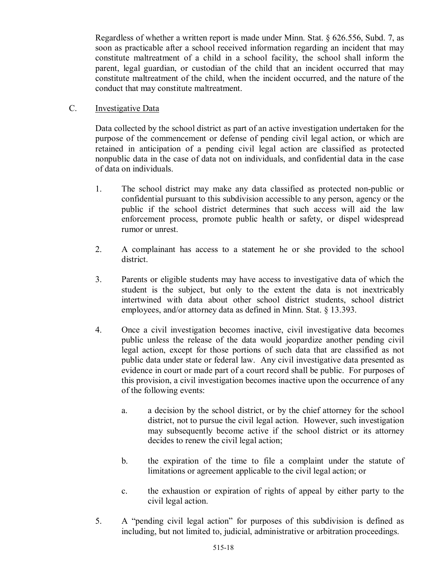Regardless of whether a written report is made under Minn. Stat. § 626.556, Subd. 7, as soon as practicable after a school received information regarding an incident that may constitute maltreatment of a child in a school facility, the school shall inform the parent, legal guardian, or custodian of the child that an incident occurred that may constitute maltreatment of the child, when the incident occurred, and the nature of the conduct that may constitute maltreatment.

## C. Investigative Data

Data collected by the school district as part of an active investigation undertaken for the purpose of the commencement or defense of pending civil legal action, or which are retained in anticipation of a pending civil legal action are classified as protected nonpublic data in the case of data not on individuals, and confidential data in the case of data on individuals.

- 1. The school district may make any data classified as protected non-public or confidential pursuant to this subdivision accessible to any person, agency or the public if the school district determines that such access will aid the law enforcement process, promote public health or safety, or dispel widespread rumor or unrest.
- 2. A complainant has access to a statement he or she provided to the school district.
- 3. Parents or eligible students may have access to investigative data of which the student is the subject, but only to the extent the data is not inextricably intertwined with data about other school district students, school district employees, and/or attorney data as defined in Minn. Stat. § 13.393.
- 4. Once a civil investigation becomes inactive, civil investigative data becomes public unless the release of the data would jeopardize another pending civil legal action, except for those portions of such data that are classified as not public data under state or federal law. Any civil investigative data presented as evidence in court or made part of a court record shall be public. For purposes of this provision, a civil investigation becomes inactive upon the occurrence of any of the following events:
	- a. a decision by the school district, or by the chief attorney for the school district, not to pursue the civil legal action. However, such investigation may subsequently become active if the school district or its attorney decides to renew the civil legal action;
	- b. the expiration of the time to file a complaint under the statute of limitations or agreement applicable to the civil legal action; or
	- c. the exhaustion or expiration of rights of appeal by either party to the civil legal action.
- 5. A "pending civil legal action" for purposes of this subdivision is defined as including, but not limited to, judicial, administrative or arbitration proceedings.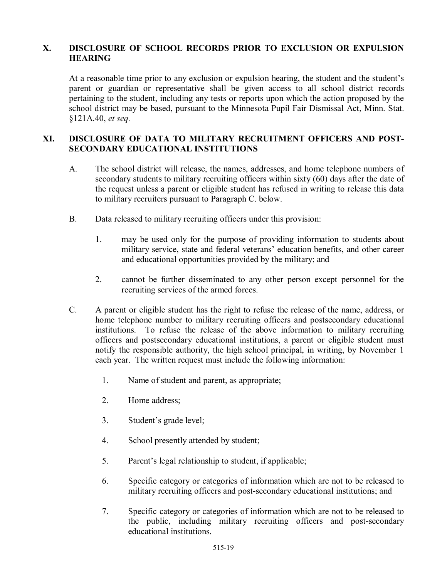### **X. DISCLOSURE OF SCHOOL RECORDS PRIOR TO EXCLUSION OR EXPULSION HEARING**

At a reasonable time prior to any exclusion or expulsion hearing, the student and the student's parent or guardian or representative shall be given access to all school district records pertaining to the student, including any tests or reports upon which the action proposed by the school district may be based, pursuant to the Minnesota Pupil Fair Dismissal Act, Minn. Stat. §121A.40, *et seq*.

### **XI. DISCLOSURE OF DATA TO MILITARY RECRUITMENT OFFICERS AND POST-SECONDARY EDUCATIONAL INSTITUTIONS**

- A. The school district will release, the names, addresses, and home telephone numbers of secondary students to military recruiting officers within sixty (60) days after the date of the request unless a parent or eligible student has refused in writing to release this data to military recruiters pursuant to Paragraph C. below.
- B. Data released to military recruiting officers under this provision:
	- 1. may be used only for the purpose of providing information to students about military service, state and federal veterans' education benefits, and other career and educational opportunities provided by the military; and
	- 2. cannot be further disseminated to any other person except personnel for the recruiting services of the armed forces.
- C. A parent or eligible student has the right to refuse the release of the name, address, or home telephone number to military recruiting officers and postsecondary educational institutions. To refuse the release of the above information to military recruiting officers and postsecondary educational institutions, a parent or eligible student must notify the responsible authority, the high school principal, in writing, by November 1 each year. The written request must include the following information:
	- 1. Name of student and parent, as appropriate;
	- 2. Home address;
	- 3. Student's grade level;
	- 4. School presently attended by student;
	- 5. Parent's legal relationship to student, if applicable;
	- 6. Specific category or categories of information which are not to be released to military recruiting officers and post-secondary educational institutions; and
	- 7. Specific category or categories of information which are not to be released to the public, including military recruiting officers and post-secondary educational institutions.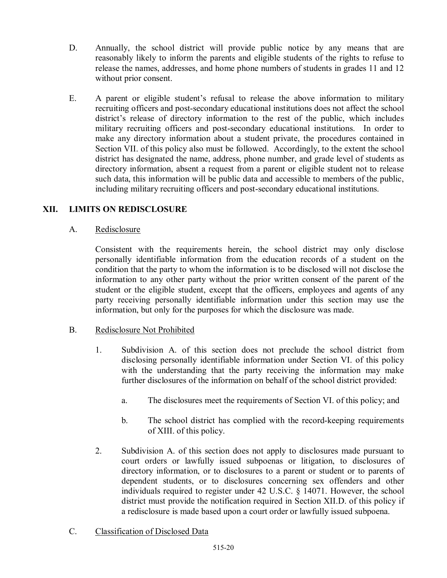- D. Annually, the school district will provide public notice by any means that are reasonably likely to inform the parents and eligible students of the rights to refuse to release the names, addresses, and home phone numbers of students in grades 11 and 12 without prior consent.
- E. A parent or eligible student's refusal to release the above information to military recruiting officers and post-secondary educational institutions does not affect the school district's release of directory information to the rest of the public, which includes military recruiting officers and post-secondary educational institutions. In order to make any directory information about a student private, the procedures contained in Section VII. of this policy also must be followed. Accordingly, to the extent the school district has designated the name, address, phone number, and grade level of students as directory information, absent a request from a parent or eligible student not to release such data, this information will be public data and accessible to members of the public, including military recruiting officers and post-secondary educational institutions.

### **XII. LIMITS ON REDISCLOSURE**

#### A. Redisclosure

Consistent with the requirements herein, the school district may only disclose personally identifiable information from the education records of a student on the condition that the party to whom the information is to be disclosed will not disclose the information to any other party without the prior written consent of the parent of the student or the eligible student, except that the officers, employees and agents of any party receiving personally identifiable information under this section may use the information, but only for the purposes for which the disclosure was made.

#### B. Redisclosure Not Prohibited

- 1. Subdivision A. of this section does not preclude the school district from disclosing personally identifiable information under Section VI. of this policy with the understanding that the party receiving the information may make further disclosures of the information on behalf of the school district provided:
	- a. The disclosures meet the requirements of Section VI. of this policy; and
	- b. The school district has complied with the record-keeping requirements of XIII. of this policy.
- 2. Subdivision A. of this section does not apply to disclosures made pursuant to court orders or lawfully issued subpoenas or litigation, to disclosures of directory information, or to disclosures to a parent or student or to parents of dependent students, or to disclosures concerning sex offenders and other individuals required to register under 42 U.S.C. § 14071. However, the school district must provide the notification required in Section XII.D. of this policy if a redisclosure is made based upon a court order or lawfully issued subpoena.
- C. Classification of Disclosed Data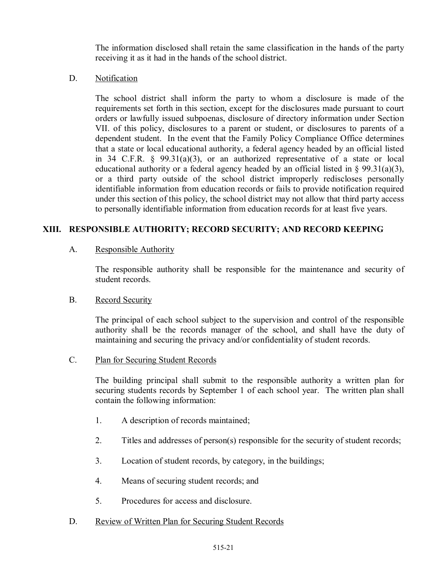The information disclosed shall retain the same classification in the hands of the party receiving it as it had in the hands of the school district.

### D. Notification

The school district shall inform the party to whom a disclosure is made of the requirements set forth in this section, except for the disclosures made pursuant to court orders or lawfully issued subpoenas, disclosure of directory information under Section VII. of this policy, disclosures to a parent or student, or disclosures to parents of a dependent student. In the event that the Family Policy Compliance Office determines that a state or local educational authority, a federal agency headed by an official listed in 34 C.F.R. § 99.31(a)(3), or an authorized representative of a state or local educational authority or a federal agency headed by an official listed in § 99.31(a)(3), or a third party outside of the school district improperly rediscloses personally identifiable information from education records or fails to provide notification required under this section of this policy, the school district may not allow that third party access to personally identifiable information from education records for at least five years.

# **XIII. RESPONSIBLE AUTHORITY; RECORD SECURITY; AND RECORD KEEPING**

## A. Responsible Authority

The responsible authority shall be responsible for the maintenance and security of student records.

## B. Record Security

The principal of each school subject to the supervision and control of the responsible authority shall be the records manager of the school, and shall have the duty of maintaining and securing the privacy and/or confidentiality of student records.

## C. Plan for Securing Student Records

The building principal shall submit to the responsible authority a written plan for securing students records by September 1 of each school year. The written plan shall contain the following information:

- 1. A description of records maintained;
- 2. Titles and addresses of person(s) responsible for the security of student records;
- 3. Location of student records, by category, in the buildings;
- 4. Means of securing student records; and
- 5. Procedures for access and disclosure.
- D. Review of Written Plan for Securing Student Records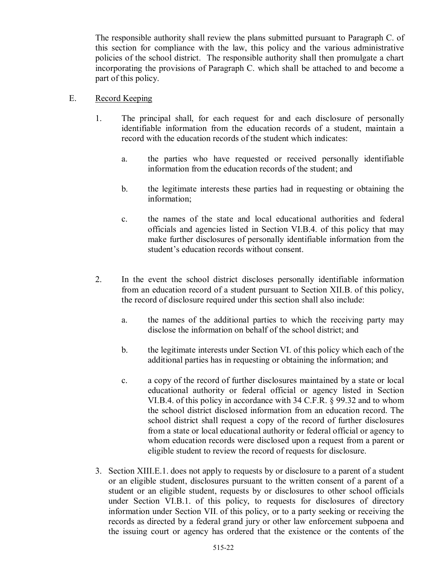The responsible authority shall review the plans submitted pursuant to Paragraph C. of this section for compliance with the law, this policy and the various administrative policies of the school district. The responsible authority shall then promulgate a chart incorporating the provisions of Paragraph C. which shall be attached to and become a part of this policy.

- E. Record Keeping
	- 1. The principal shall, for each request for and each disclosure of personally identifiable information from the education records of a student, maintain a record with the education records of the student which indicates:
		- a. the parties who have requested or received personally identifiable information from the education records of the student; and
		- b. the legitimate interests these parties had in requesting or obtaining the information;
		- c. the names of the state and local educational authorities and federal officials and agencies listed in Section VI.B.4. of this policy that may make further disclosures of personally identifiable information from the student's education records without consent.
	- 2. In the event the school district discloses personally identifiable information from an education record of a student pursuant to Section XII.B. of this policy, the record of disclosure required under this section shall also include:
		- a. the names of the additional parties to which the receiving party may disclose the information on behalf of the school district; and
		- b. the legitimate interests under Section VI. of this policy which each of the additional parties has in requesting or obtaining the information; and
		- c. a copy of the record of further disclosures maintained by a state or local educational authority or federal official or agency listed in Section VI.B.4. of this policy in accordance with 34 C.F.R. § 99.32 and to whom the school district disclosed information from an education record. The school district shall request a copy of the record of further disclosures from a state or local educational authority or federal official or agency to whom education records were disclosed upon a request from a parent or eligible student to review the record of requests for disclosure.
	- 3. Section XIII.E.1. does not apply to requests by or disclosure to a parent of a student or an eligible student, disclosures pursuant to the written consent of a parent of a student or an eligible student, requests by or disclosures to other school officials under Section VI.B.1. of this policy, to requests for disclosures of directory information under Section VII. of this policy, or to a party seeking or receiving the records as directed by a federal grand jury or other law enforcement subpoena and the issuing court or agency has ordered that the existence or the contents of the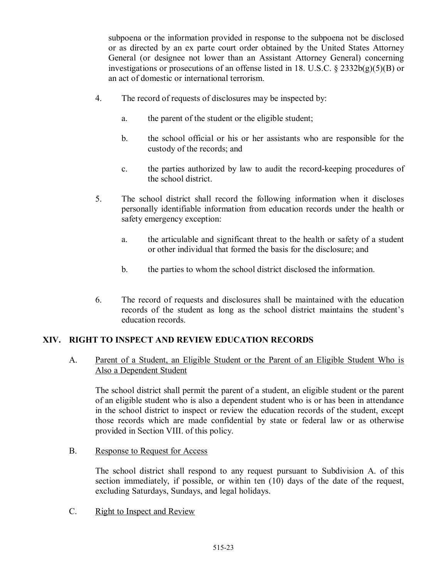subpoena or the information provided in response to the subpoena not be disclosed or as directed by an ex parte court order obtained by the United States Attorney General (or designee not lower than an Assistant Attorney General) concerning investigations or prosecutions of an offense listed in 18. U.S.C. § 2332b(g)(5)(B) or an act of domestic or international terrorism.

- 4. The record of requests of disclosures may be inspected by:
	- a. the parent of the student or the eligible student;
	- b. the school official or his or her assistants who are responsible for the custody of the records; and
	- c. the parties authorized by law to audit the record-keeping procedures of the school district.
- 5. The school district shall record the following information when it discloses personally identifiable information from education records under the health or safety emergency exception:
	- a. the articulable and significant threat to the health or safety of a student or other individual that formed the basis for the disclosure; and
	- b. the parties to whom the school district disclosed the information.
- 6. The record of requests and disclosures shall be maintained with the education records of the student as long as the school district maintains the student's education records.

## **XIV. RIGHT TO INSPECT AND REVIEW EDUCATION RECORDS**

A. Parent of a Student, an Eligible Student or the Parent of an Eligible Student Who is Also a Dependent Student

The school district shall permit the parent of a student, an eligible student or the parent of an eligible student who is also a dependent student who is or has been in attendance in the school district to inspect or review the education records of the student, except those records which are made confidential by state or federal law or as otherwise provided in Section VIII. of this policy.

B. Response to Request for Access

The school district shall respond to any request pursuant to Subdivision A. of this section immediately, if possible, or within ten (10) days of the date of the request, excluding Saturdays, Sundays, and legal holidays.

C. Right to Inspect and Review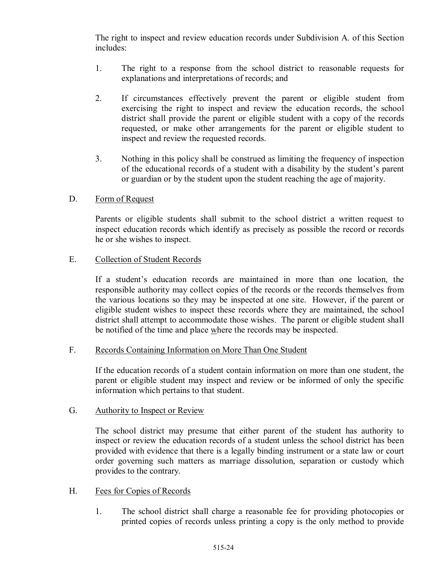The right to inspect and review education records under Subdivision A. of this Section includes:

- 1. The right to a response from the school district to reasonable requests for explanations and interpretations of records; and
- 2. If circumstances effectively prevent the parent or eligible student from exercising the right to inspect and review the education records, the school district shall provide the parent or eligible student with a copy of the records requested, or make other arrangements for the parent or eligible student to inspect and review the requested records.
- 3. Nothing in this policy shall be construed as limiting the frequency of inspection of the educational records of a student with a disability by the student's parent or guardian or by the student upon the student reaching the age of majority.

### D. Form of Request

Parents or eligible students shall submit to the school district a written request to inspect education records which identify as precisely as possible the record or records he or she wishes to inspect.

### E. Collection of Student Records

If a student's education records are maintained in more than one location, the responsible authority may collect copies of the records or the records themselves from the various locations so they may be inspected at one site. However, if the parent or eligible student wishes to inspect these records where they are maintained, the school district shall attempt to accommodate those wishes. The parent or eligible student shall be notified of the time and place where the records may be inspected.

#### F. Records Containing Information on More Than One Student

If the education records of a student contain information on more than one student, the parent or eligible student may inspect and review or be informed of only the specific information which pertains to that student.

#### G. Authority to Inspect or Review

The school district may presume that either parent of the student has authority to inspect or review the education records of a student unless the school district has been provided with evidence that there is a legally binding instrument or a state law or court order governing such matters as marriage dissolution, separation or custody which provides to the contrary.

#### H. Fees for Copies of Records

1. The school district shall charge a reasonable fee for providing photocopies or printed copies of records unless printing a copy is the only method to provide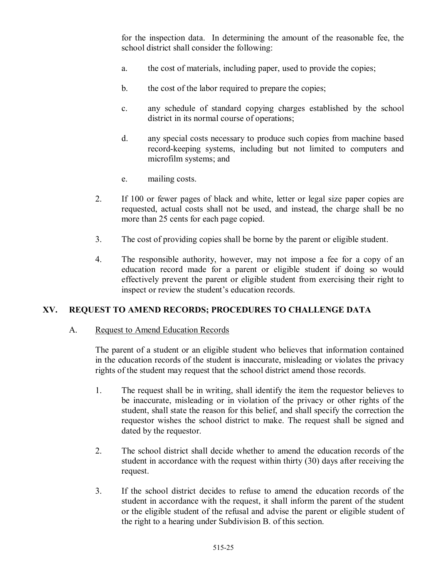for the inspection data. In determining the amount of the reasonable fee, the school district shall consider the following:

- a. the cost of materials, including paper, used to provide the copies;
- b. the cost of the labor required to prepare the copies;
- c. any schedule of standard copying charges established by the school district in its normal course of operations;
- d. any special costs necessary to produce such copies from machine based record-keeping systems, including but not limited to computers and microfilm systems; and
- e. mailing costs.
- 2. If 100 or fewer pages of black and white, letter or legal size paper copies are requested, actual costs shall not be used, and instead, the charge shall be no more than 25 cents for each page copied.
- 3. The cost of providing copies shall be borne by the parent or eligible student.
- 4. The responsible authority, however, may not impose a fee for a copy of an education record made for a parent or eligible student if doing so would effectively prevent the parent or eligible student from exercising their right to inspect or review the student's education records.

## **XV. REQUEST TO AMEND RECORDS; PROCEDURES TO CHALLENGE DATA**

#### A. Request to Amend Education Records

The parent of a student or an eligible student who believes that information contained in the education records of the student is inaccurate, misleading or violates the privacy rights of the student may request that the school district amend those records.

- 1. The request shall be in writing, shall identify the item the requestor believes to be inaccurate, misleading or in violation of the privacy or other rights of the student, shall state the reason for this belief, and shall specify the correction the requestor wishes the school district to make. The request shall be signed and dated by the requestor.
- 2. The school district shall decide whether to amend the education records of the student in accordance with the request within thirty (30) days after receiving the request.
- 3. If the school district decides to refuse to amend the education records of the student in accordance with the request, it shall inform the parent of the student or the eligible student of the refusal and advise the parent or eligible student of the right to a hearing under Subdivision B. of this section.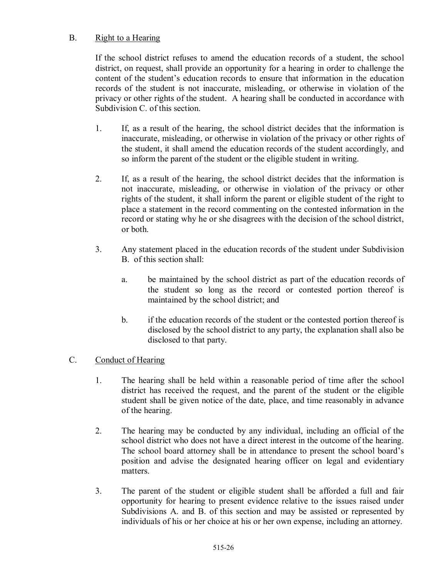## B. Right to a Hearing

If the school district refuses to amend the education records of a student, the school district, on request, shall provide an opportunity for a hearing in order to challenge the content of the student's education records to ensure that information in the education records of the student is not inaccurate, misleading, or otherwise in violation of the privacy or other rights of the student. A hearing shall be conducted in accordance with Subdivision C. of this section.

- 1. If, as a result of the hearing, the school district decides that the information is inaccurate, misleading, or otherwise in violation of the privacy or other rights of the student, it shall amend the education records of the student accordingly, and so inform the parent of the student or the eligible student in writing.
- 2. If, as a result of the hearing, the school district decides that the information is not inaccurate, misleading, or otherwise in violation of the privacy or other rights of the student, it shall inform the parent or eligible student of the right to place a statement in the record commenting on the contested information in the record or stating why he or she disagrees with the decision of the school district, or both.
- 3. Any statement placed in the education records of the student under Subdivision B. of this section shall:
	- a. be maintained by the school district as part of the education records of the student so long as the record or contested portion thereof is maintained by the school district; and
	- b. if the education records of the student or the contested portion thereof is disclosed by the school district to any party, the explanation shall also be disclosed to that party.

## C. Conduct of Hearing

- 1. The hearing shall be held within a reasonable period of time after the school district has received the request, and the parent of the student or the eligible student shall be given notice of the date, place, and time reasonably in advance of the hearing.
- 2. The hearing may be conducted by any individual, including an official of the school district who does not have a direct interest in the outcome of the hearing. The school board attorney shall be in attendance to present the school board's position and advise the designated hearing officer on legal and evidentiary matters.
- 3. The parent of the student or eligible student shall be afforded a full and fair opportunity for hearing to present evidence relative to the issues raised under Subdivisions A. and B. of this section and may be assisted or represented by individuals of his or her choice at his or her own expense, including an attorney.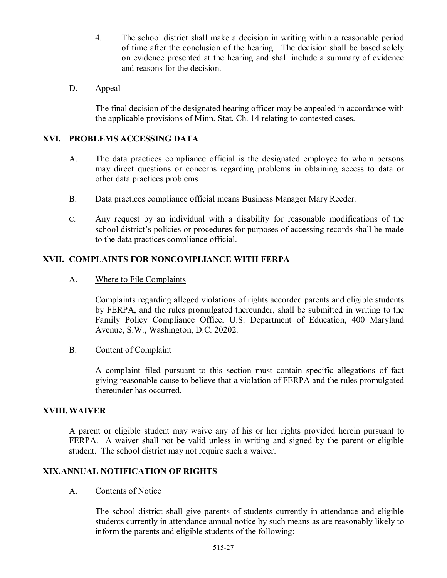- 4. The school district shall make a decision in writing within a reasonable period of time after the conclusion of the hearing. The decision shall be based solely on evidence presented at the hearing and shall include a summary of evidence and reasons for the decision.
- D. Appeal

The final decision of the designated hearing officer may be appealed in accordance with the applicable provisions of Minn. Stat. Ch. 14 relating to contested cases.

### **XVI. PROBLEMS ACCESSING DATA**

- A. The data practices compliance official is the designated employee to whom persons may direct questions or concerns regarding problems in obtaining access to data or other data practices problems
- B. Data practices compliance official means Business Manager Mary Reeder*.*
- C. Any request by an individual with a disability for reasonable modifications of the school district's policies or procedures for purposes of accessing records shall be made to the data practices compliance official.

## **XVII. COMPLAINTS FOR NONCOMPLIANCE WITH FERPA**

A. Where to File Complaints

Complaints regarding alleged violations of rights accorded parents and eligible students by FERPA, and the rules promulgated thereunder, shall be submitted in writing to the Family Policy Compliance Office, U.S. Department of Education, 400 Maryland Avenue, S.W., Washington, D.C. 20202.

B. Content of Complaint

A complaint filed pursuant to this section must contain specific allegations of fact giving reasonable cause to believe that a violation of FERPA and the rules promulgated thereunder has occurred.

#### **XVIII.WAIVER**

A parent or eligible student may waive any of his or her rights provided herein pursuant to FERPA. A waiver shall not be valid unless in writing and signed by the parent or eligible student. The school district may not require such a waiver.

### **XIX.ANNUAL NOTIFICATION OF RIGHTS**

A. Contents of Notice

The school district shall give parents of students currently in attendance and eligible students currently in attendance annual notice by such means as are reasonably likely to inform the parents and eligible students of the following: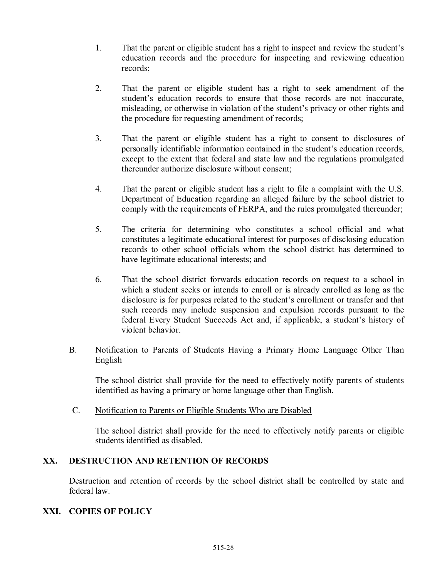- 1. That the parent or eligible student has a right to inspect and review the student's education records and the procedure for inspecting and reviewing education records;
- 2. That the parent or eligible student has a right to seek amendment of the student's education records to ensure that those records are not inaccurate, misleading, or otherwise in violation of the student's privacy or other rights and the procedure for requesting amendment of records;
- 3. That the parent or eligible student has a right to consent to disclosures of personally identifiable information contained in the student's education records, except to the extent that federal and state law and the regulations promulgated thereunder authorize disclosure without consent;
- 4. That the parent or eligible student has a right to file a complaint with the U.S. Department of Education regarding an alleged failure by the school district to comply with the requirements of FERPA, and the rules promulgated thereunder;
- 5. The criteria for determining who constitutes a school official and what constitutes a legitimate educational interest for purposes of disclosing education records to other school officials whom the school district has determined to have legitimate educational interests; and
- 6. That the school district forwards education records on request to a school in which a student seeks or intends to enroll or is already enrolled as long as the disclosure is for purposes related to the student's enrollment or transfer and that such records may include suspension and expulsion records pursuant to the federal Every Student Succeeds Act and, if applicable, a student's history of violent behavior.

### B. Notification to Parents of Students Having a Primary Home Language Other Than English

The school district shall provide for the need to effectively notify parents of students identified as having a primary or home language other than English.

C. Notification to Parents or Eligible Students Who are Disabled

The school district shall provide for the need to effectively notify parents or eligible students identified as disabled.

## **XX. DESTRUCTION AND RETENTION OF RECORDS**

Destruction and retention of records by the school district shall be controlled by state and federal law.

## **XXI. COPIES OF POLICY**